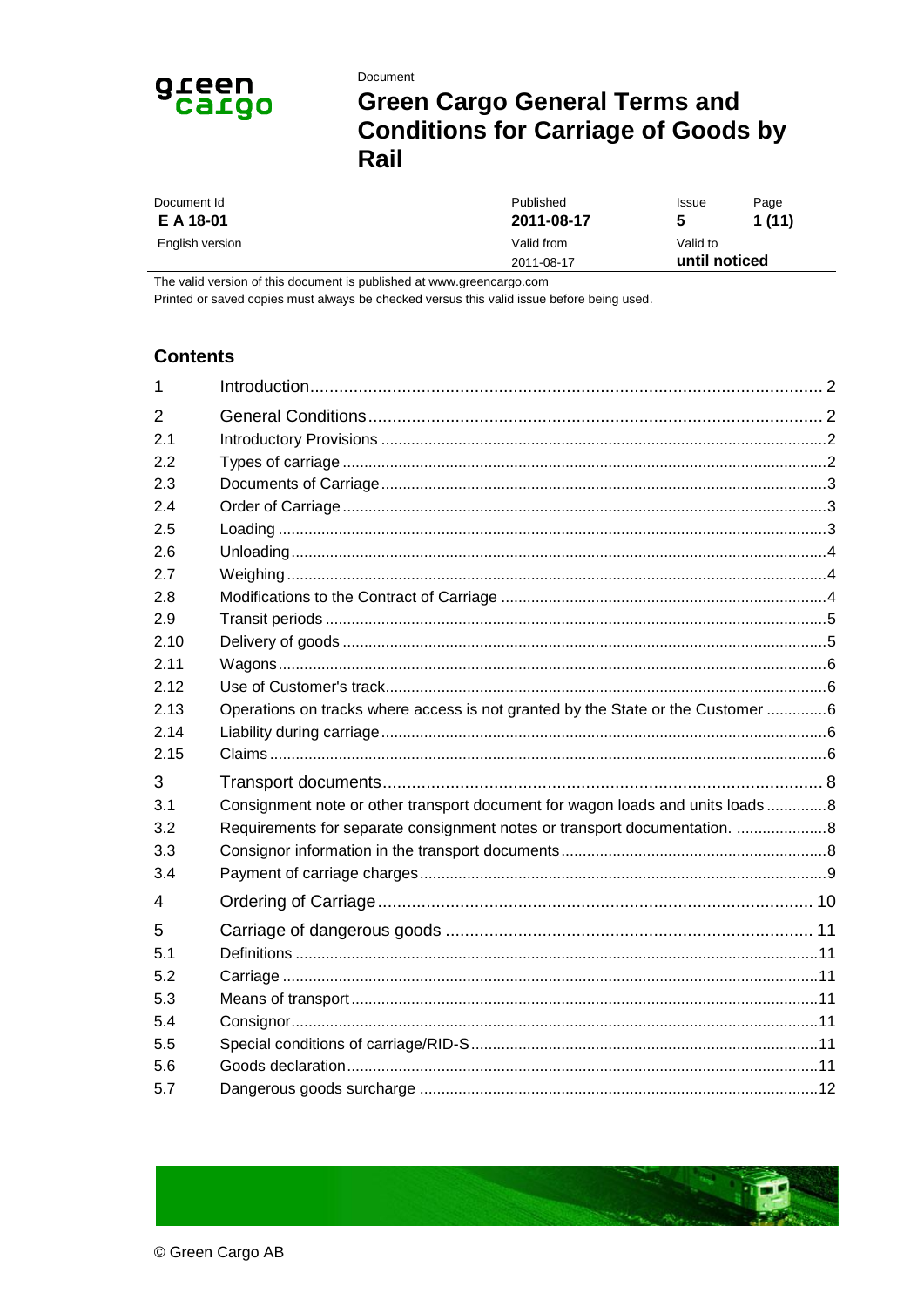

# Document **Green Cargo General Terms and Conditions for Carriage of Goods by** Rail

| Document Id     | Published  | <b>Issue</b>  | Page  |
|-----------------|------------|---------------|-------|
| E A 18-01       | 2011-08-17 | 5             | 1(11) |
| English version | Valid from | Valid to      |       |
|                 | 2011-08-17 | until noticed |       |

The valid version of this document is published at www.greencargo.com

Printed or saved copies must always be checked versus this valid issue before being used.

### **Contents**

| 1              |                                                                                 |  |
|----------------|---------------------------------------------------------------------------------|--|
| $\overline{2}$ |                                                                                 |  |
| 2.1            |                                                                                 |  |
| 2.2            |                                                                                 |  |
| 2.3            |                                                                                 |  |
| 2.4            |                                                                                 |  |
| 2.5            |                                                                                 |  |
| 2.6            |                                                                                 |  |
| 2.7            |                                                                                 |  |
| 2.8            |                                                                                 |  |
| 2.9            |                                                                                 |  |
| 2.10           |                                                                                 |  |
| 2.11           |                                                                                 |  |
| 2.12           |                                                                                 |  |
| 2.13           | Operations on tracks where access is not granted by the State or the Customer 6 |  |
| 2.14           |                                                                                 |  |
| 2.15           |                                                                                 |  |
| 3              |                                                                                 |  |
| 3.1            | Consignment note or other transport document for wagon loads and units loads 8  |  |
| 3.2            | Requirements for separate consignment notes or transport documentation. 8       |  |
| 3.3            |                                                                                 |  |
| 3.4            |                                                                                 |  |
| 4              |                                                                                 |  |
| 5              |                                                                                 |  |
| 5.1            |                                                                                 |  |
| 5.2            |                                                                                 |  |
| 5.3            |                                                                                 |  |
| 5.4            |                                                                                 |  |
| 5.5            |                                                                                 |  |
| 5.6            |                                                                                 |  |
| 5.7            |                                                                                 |  |

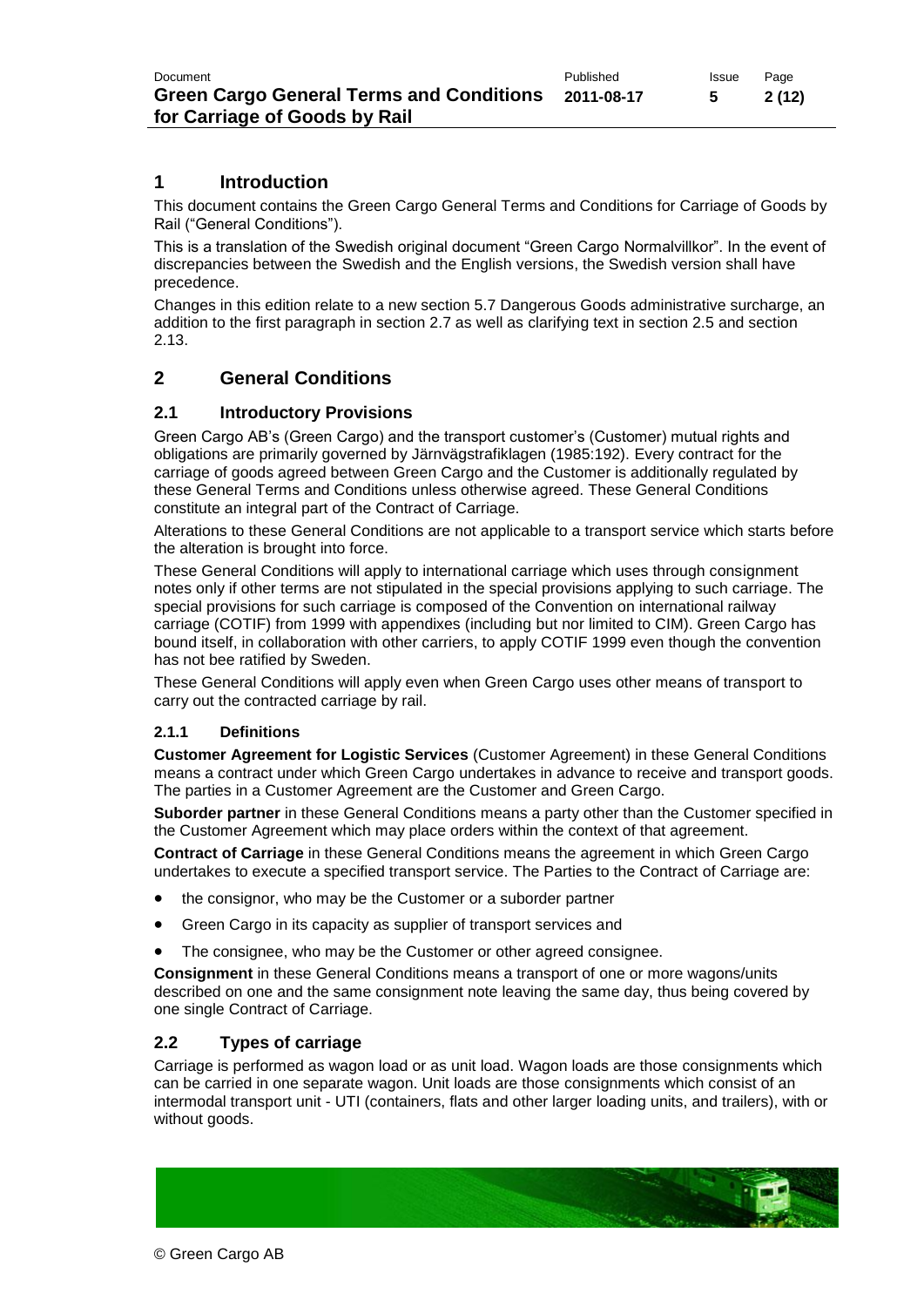### **1 Introduction**

This document contains the Green Cargo General Terms and Conditions for Carriage of Goods by Rail ("General Conditions").

This is a translation of the Swedish original document "Green Cargo Normalvillkor". In the event of discrepancies between the Swedish and the English versions, the Swedish version shall have precedence.

Changes in this edition relate to a new section 5.7 Dangerous Goods administrative surcharge, an addition to the first paragraph in section 2.7 as well as clarifying text in section 2.5 and section 2.13.

#### **2 General Conditions**

#### **2.1 Introductory Provisions**

Green Cargo AB's (Green Cargo) and the transport customer's (Customer) mutual rights and obligations are primarily governed by Järnvägstrafiklagen (1985:192). Every contract for the carriage of goods agreed between Green Cargo and the Customer is additionally regulated by these General Terms and Conditions unless otherwise agreed. These General Conditions constitute an integral part of the Contract of Carriage.

Alterations to these General Conditions are not applicable to a transport service which starts before the alteration is brought into force.

These General Conditions will apply to international carriage which uses through consignment notes only if other terms are not stipulated in the special provisions applying to such carriage. The special provisions for such carriage is composed of the Convention on international railway carriage (COTIF) from 1999 with appendixes (including but nor limited to CIM). Green Cargo has bound itself, in collaboration with other carriers, to apply COTIF 1999 even though the convention has not bee ratified by Sweden.

These General Conditions will apply even when Green Cargo uses other means of transport to carry out the contracted carriage by rail.

#### **2.1.1 Definitions**

**Customer Agreement for Logistic Services** (Customer Agreement) in these General Conditions means a contract under which Green Cargo undertakes in advance to receive and transport goods. The parties in a Customer Agreement are the Customer and Green Cargo.

**Suborder partner** in these General Conditions means a party other than the Customer specified in the Customer Agreement which may place orders within the context of that agreement.

**Contract of Carriage** in these General Conditions means the agreement in which Green Cargo undertakes to execute a specified transport service. The Parties to the Contract of Carriage are:

- the consignor, who may be the Customer or a suborder partner
- Green Cargo in its capacity as supplier of transport services and
- The consignee, who may be the Customer or other agreed consignee.

**Consignment** in these General Conditions means a transport of one or more wagons/units described on one and the same consignment note leaving the same day, thus being covered by one single Contract of Carriage.

#### **2.2 Types of carriage**

Carriage is performed as wagon load or as unit load. Wagon loads are those consignments which can be carried in one separate wagon. Unit loads are those consignments which consist of an intermodal transport unit - UTI (containers, flats and other larger loading units, and trailers), with or without goods.

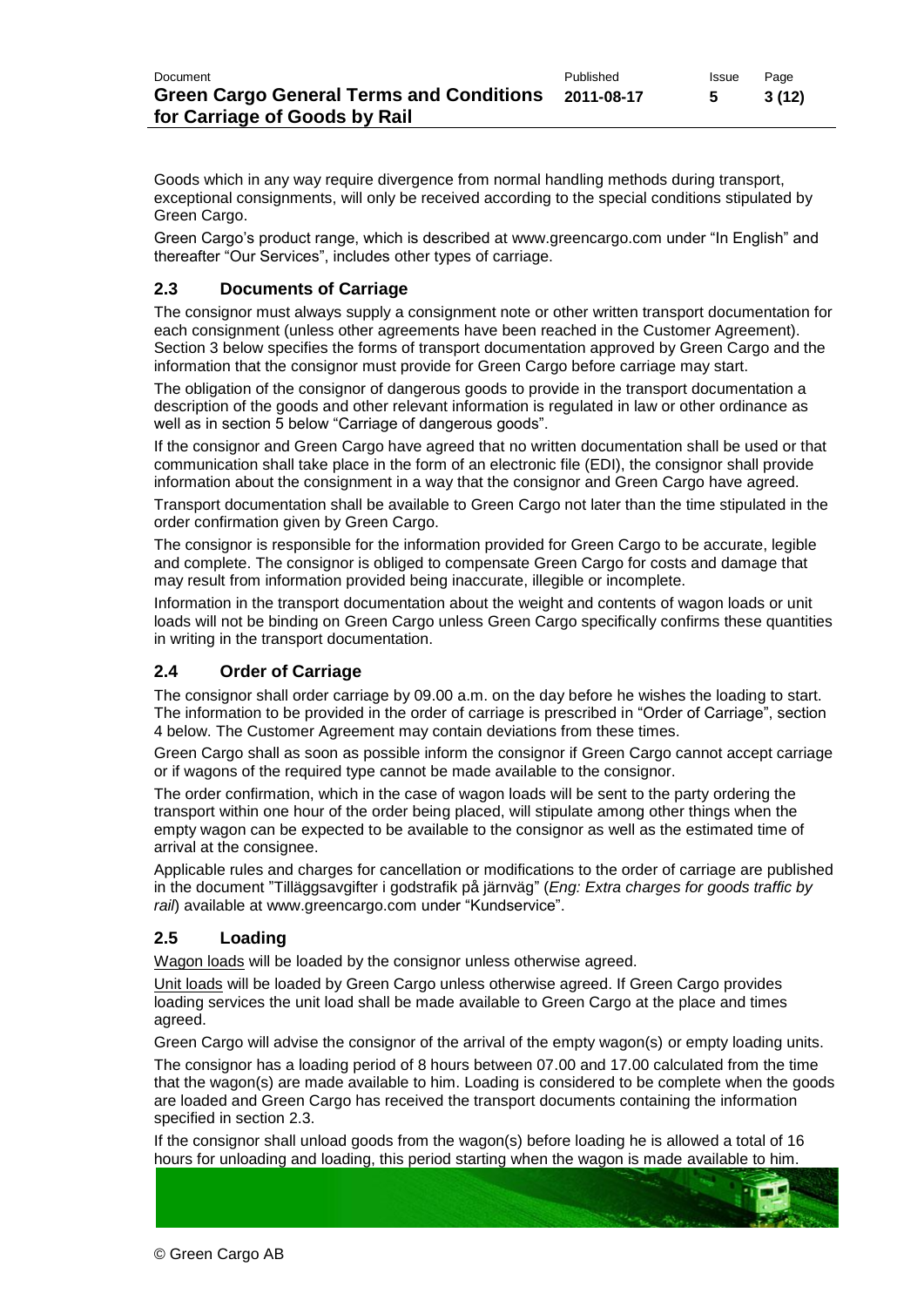Goods which in any way require divergence from normal handling methods during transport, exceptional consignments, will only be received according to the special conditions stipulated by Green Cargo.

Green Cargo's product range, which is described at [www.greencargo.com](http://www.greencargo.com/) under "In English" and thereafter "Our Services", includes other types of carriage.

### **2.3 Documents of Carriage**

The consignor must always supply a consignment note or other written transport documentation for each consignment (unless other agreements have been reached in the Customer Agreement). Section 3 below specifies the forms of transport documentation approved by Green Cargo and the information that the consignor must provide for Green Cargo before carriage may start.

The obligation of the consignor of dangerous goods to provide in the transport documentation a description of the goods and other relevant information is regulated in law or other ordinance as well as in section 5 below "Carriage of dangerous goods".

If the consignor and Green Cargo have agreed that no written documentation shall be used or that communication shall take place in the form of an electronic file (EDI), the consignor shall provide information about the consignment in a way that the consignor and Green Cargo have agreed.

Transport documentation shall be available to Green Cargo not later than the time stipulated in the order confirmation given by Green Cargo.

The consignor is responsible for the information provided for Green Cargo to be accurate, legible and complete. The consignor is obliged to compensate Green Cargo for costs and damage that may result from information provided being inaccurate, illegible or incomplete.

Information in the transport documentation about the weight and contents of wagon loads or unit loads will not be binding on Green Cargo unless Green Cargo specifically confirms these quantities in writing in the transport documentation.

#### **2.4 Order of Carriage**

The consignor shall order carriage by 09.00 a.m. on the day before he wishes the loading to start. The information to be provided in the order of carriage is prescribed in "Order of Carriage", section 4 below. The Customer Agreement may contain deviations from these times.

Green Cargo shall as soon as possible inform the consignor if Green Cargo cannot accept carriage or if wagons of the required type cannot be made available to the consignor.

The order confirmation, which in the case of wagon loads will be sent to the party ordering the transport within one hour of the order being placed, will stipulate among other things when the empty wagon can be expected to be available to the consignor as well as the estimated time of arrival at the consignee.

Applicable rules and charges for cancellation or modifications to the order of carriage are published in the document "Tilläggsavgifter i godstrafik på järnväg" (*Eng: Extra charges for goods traffic by rail*) available at [www.greencargo.com](http://www.greencargo.com/) under "Kundservice".

#### **2.5 Loading**

Wagon loads will be loaded by the consignor unless otherwise agreed.

Unit loads will be loaded by Green Cargo unless otherwise agreed. If Green Cargo provides loading services the unit load shall be made available to Green Cargo at the place and times agreed.

Green Cargo will advise the consignor of the arrival of the empty wagon(s) or empty loading units.

The consignor has a loading period of 8 hours between 07.00 and 17.00 calculated from the time that the wagon(s) are made available to him. Loading is considered to be complete when the goods are loaded and Green Cargo has received the transport documents containing the information specified in section 2.3.

If the consignor shall unload goods from the wagon(s) before loading he is allowed a total of 16 hours for unloading and loading, this period starting when the wagon is made available to him.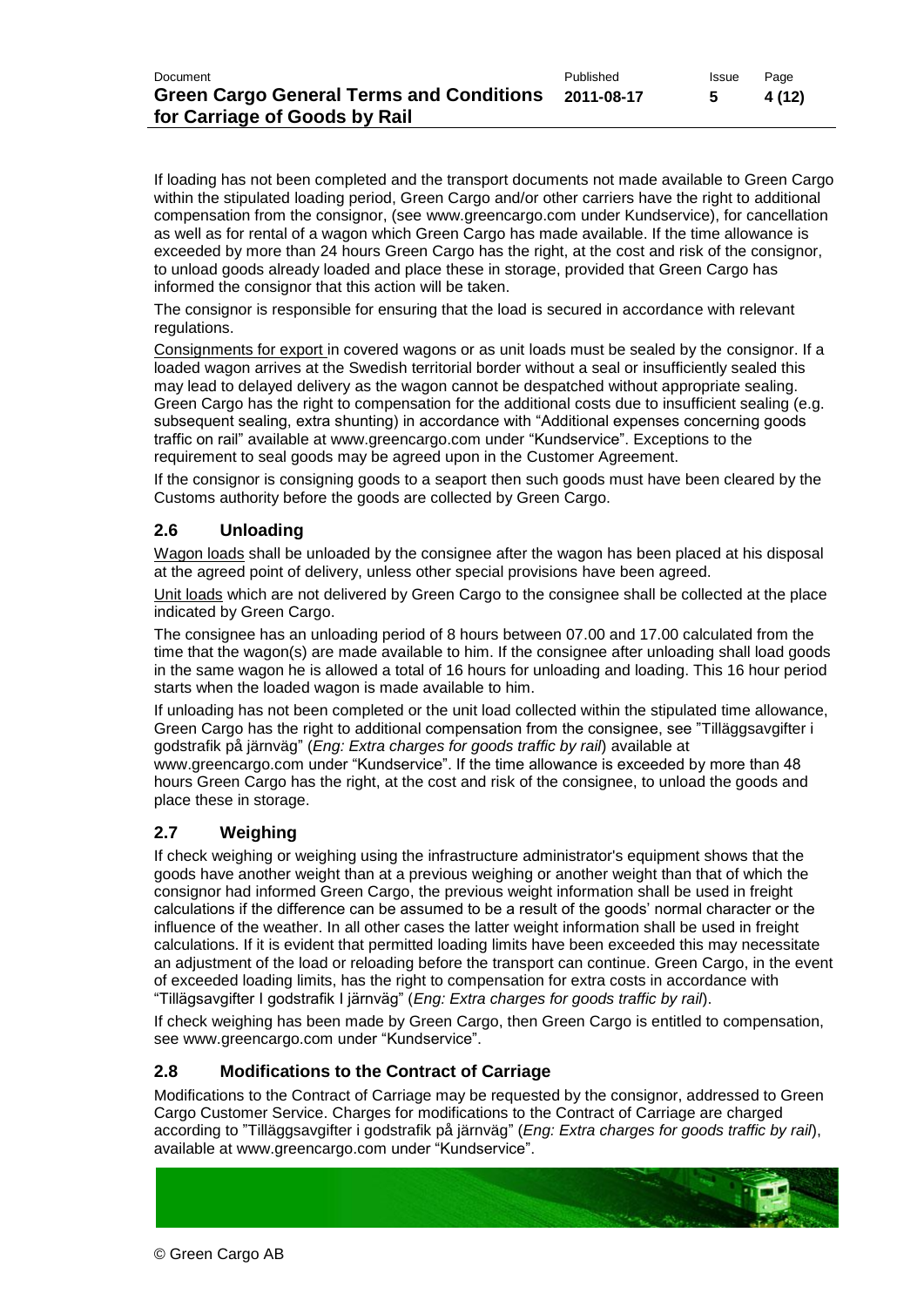If loading has not been completed and the transport documents not made available to Green Cargo within the stipulated loading period, Green Cargo and/or other carriers have the right to additional compensation from the consignor, (see [www.greencargo.com](http://www.greencargo.com/) under Kundservice), for cancellation as well as for rental of a wagon which Green Cargo has made available. If the time allowance is exceeded by more than 24 hours Green Cargo has the right, at the cost and risk of the consignor, to unload goods already loaded and place these in storage, provided that Green Cargo has informed the consignor that this action will be taken.

The consignor is responsible for ensuring that the load is secured in accordance with relevant regulations.

Consignments for export in covered wagons or as unit loads must be sealed by the consignor. If a loaded wagon arrives at the Swedish territorial border without a seal or insufficiently sealed this may lead to delayed delivery as the wagon cannot be despatched without appropriate sealing. Green Cargo has the right to compensation for the additional costs due to insufficient sealing (e.g. subsequent sealing, extra shunting) in accordance with "Additional expenses concerning goods traffic on rail" available at www.greencargo.com under "Kundservice". Exceptions to the requirement to seal goods may be agreed upon in the Customer Agreement.

If the consignor is consigning goods to a seaport then such goods must have been cleared by the Customs authority before the goods are collected by Green Cargo.

### **2.6 Unloading**

Wagon loads shall be unloaded by the consignee after the wagon has been placed at his disposal at the agreed point of delivery, unless other special provisions have been agreed.

Unit loads which are not delivered by Green Cargo to the consignee shall be collected at the place indicated by Green Cargo.

The consignee has an unloading period of 8 hours between 07.00 and 17.00 calculated from the time that the wagon(s) are made available to him. If the consignee after unloading shall load goods in the same wagon he is allowed a total of 16 hours for unloading and loading. This 16 hour period starts when the loaded wagon is made available to him.

If unloading has not been completed or the unit load collected within the stipulated time allowance, Green Cargo has the right to additional compensation from the consignee, see "Tilläggsavgifter i godstrafik på järnväg" (*Eng: Extra charges for goods traffic by rail*) available at

[www.greencargo.com](http://www.greencargo.com/) under "Kundservice". If the time allowance is exceeded by more than 48 hours Green Cargo has the right, at the cost and risk of the consignee, to unload the goods and place these in storage.

#### **2.7 Weighing**

If check weighing or weighing using the infrastructure administrator's equipment shows that the goods have another weight than at a previous weighing or another weight than that of which the consignor had informed Green Cargo, the previous weight information shall be used in freight calculations if the difference can be assumed to be a result of the goods' normal character or the influence of the weather. In all other cases the latter weight information shall be used in freight calculations. If it is evident that permitted loading limits have been exceeded this may necessitate an adjustment of the load or reloading before the transport can continue. Green Cargo, in the event of exceeded loading limits, has the right to compensation for extra costs in accordance with "Tillägsavgifter I godstrafik I järnväg" (*Eng: Extra charges for goods traffic by rail*).

If check weighing has been made by Green Cargo, then Green Cargo is entitled to compensation, see [www.greencargo.com](http://www.greencargo.com/) under "Kundservice".

#### **2.8 Modifications to the Contract of Carriage**

Modifications to the Contract of Carriage may be requested by the consignor, addressed to Green Cargo Customer Service. Charges for modifications to the Contract of Carriage are charged according to "Tilläggsavgifter i godstrafik på järnväg" (*Eng: Extra charges for goods traffic by rail*), available at [www.greencargo.com](http://www.greencargo.com/) under "Kundservice".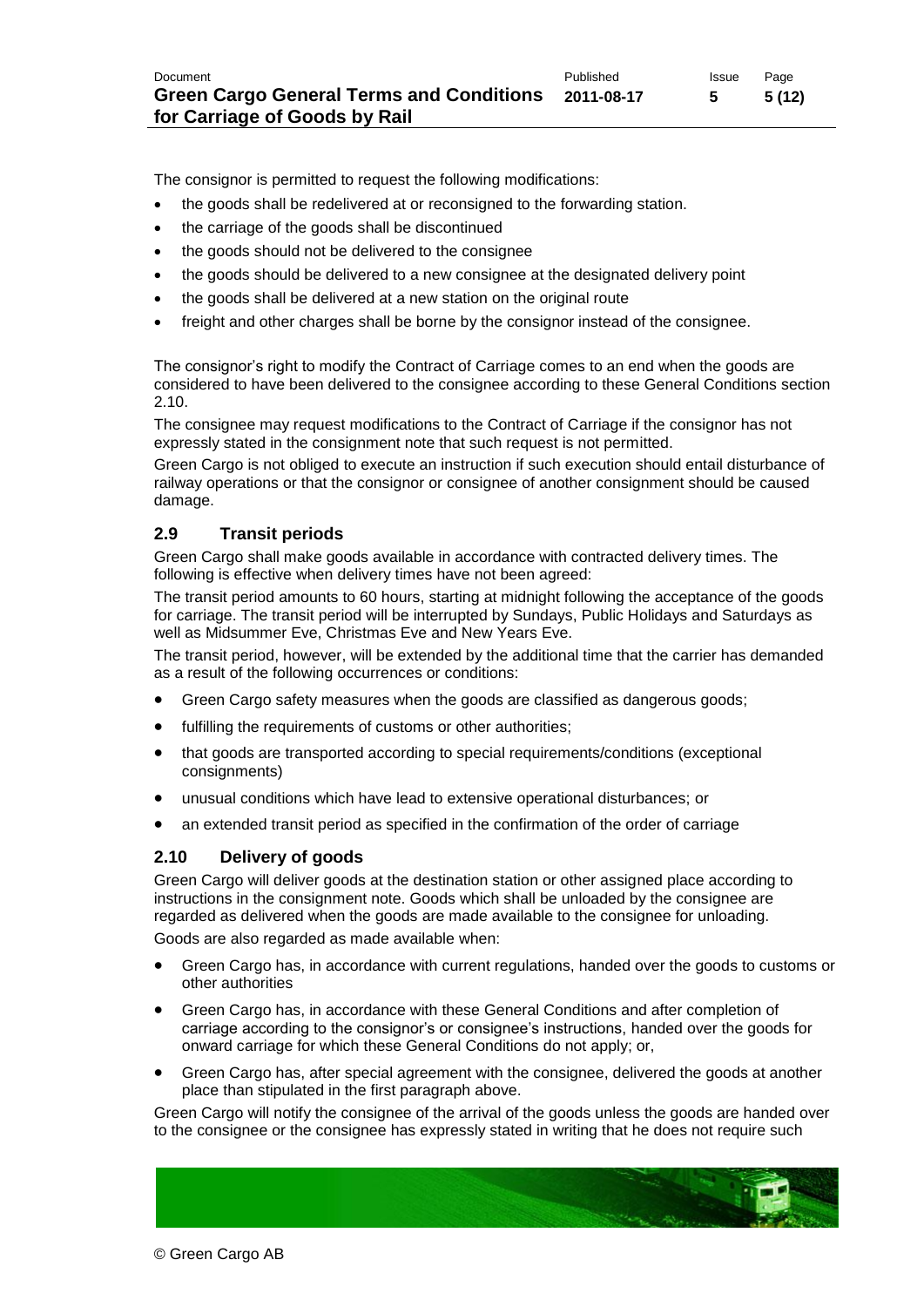The consignor is permitted to request the following modifications:

- the goods shall be redelivered at or reconsigned to the forwarding station.
- the carriage of the goods shall be discontinued
- the goods should not be delivered to the consignee
- the goods should be delivered to a new consignee at the designated delivery point
- the goods shall be delivered at a new station on the original route
- freight and other charges shall be borne by the consignor instead of the consignee.

The consignor's right to modify the Contract of Carriage comes to an end when the goods are considered to have been delivered to the consignee according to these General Conditions section 2.10.

The consignee may request modifications to the Contract of Carriage if the consignor has not expressly stated in the consignment note that such request is not permitted.

Green Cargo is not obliged to execute an instruction if such execution should entail disturbance of railway operations or that the consignor or consignee of another consignment should be caused damage.

#### **2.9 Transit periods**

Green Cargo shall make goods available in accordance with contracted delivery times. The following is effective when delivery times have not been agreed:

The transit period amounts to 60 hours, starting at midnight following the acceptance of the goods for carriage. The transit period will be interrupted by Sundays, Public Holidays and Saturdays as well as Midsummer Eve, Christmas Eve and New Years Eve.

The transit period, however, will be extended by the additional time that the carrier has demanded as a result of the following occurrences or conditions:

- Green Cargo safety measures when the goods are classified as dangerous goods;
- fulfilling the requirements of customs or other authorities;
- that goods are transported according to special requirements/conditions (exceptional consignments)
- unusual conditions which have lead to extensive operational disturbances; or
- an extended transit period as specified in the confirmation of the order of carriage

#### **2.10 Delivery of goods**

© Green Cargo AB

Green Cargo will deliver goods at the destination station or other assigned place according to instructions in the consignment note. Goods which shall be unloaded by the consignee are regarded as delivered when the goods are made available to the consignee for unloading. Goods are also regarded as made available when:

- Green Cargo has, in accordance with current regulations, handed over the goods to customs or other authorities
	- Green Cargo has, in accordance with these General Conditions and after completion of carriage according to the consignor's or consignee's instructions, handed over the goods for onward carriage for which these General Conditions do not apply; or,
	- Green Cargo has, after special agreement with the consignee, delivered the goods at another place than stipulated in the first paragraph above.

Green Cargo will notify the consignee of the arrival of the goods unless the goods are handed over to the consignee or the consignee has expressly stated in writing that he does not require such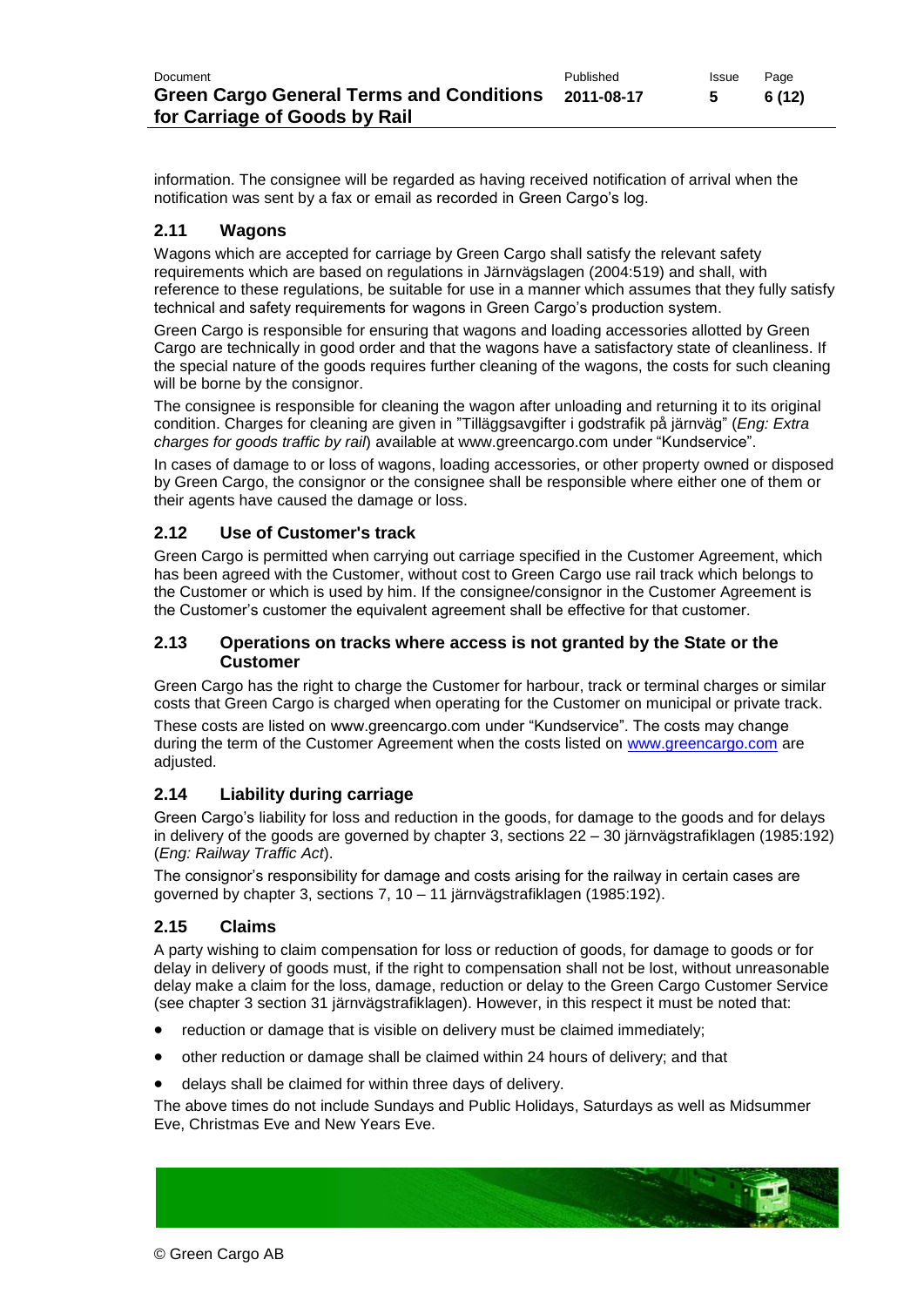information. The consignee will be regarded as having received notification of arrival when the notification was sent by a fax or email as recorded in Green Cargo's log.

#### **2.11 Wagons**

Wagons which are accepted for carriage by Green Cargo shall satisfy the relevant safety requirements which are based on regulations in Järnvägslagen (2004:519) and shall, with reference to these regulations, be suitable for use in a manner which assumes that they fully satisfy technical and safety requirements for wagons in Green Cargo's production system.

Green Cargo is responsible for ensuring that wagons and loading accessories allotted by Green Cargo are technically in good order and that the wagons have a satisfactory state of cleanliness. If the special nature of the goods requires further cleaning of the wagons, the costs for such cleaning will be borne by the consignor.

The consignee is responsible for cleaning the wagon after unloading and returning it to its original condition. Charges for cleaning are given in "Tilläggsavgifter i godstrafik på järnväg" (*Eng: Extra charges for goods traffic by rail*) available at [www.greencargo.com](http://www.greencargo.com/) under "Kundservice".

In cases of damage to or loss of wagons, loading accessories, or other property owned or disposed by Green Cargo, the consignor or the consignee shall be responsible where either one of them or their agents have caused the damage or loss.

#### **2.12 Use of Customer's track**

Green Cargo is permitted when carrying out carriage specified in the Customer Agreement, which has been agreed with the Customer, without cost to Green Cargo use rail track which belongs to the Customer or which is used by him. If the consignee/consignor in the Customer Agreement is the Customer's customer the equivalent agreement shall be effective for that customer.

#### **2.13 Operations on tracks where access is not granted by the State or the Customer**

Green Cargo has the right to charge the Customer for harbour, track or terminal charges or similar costs that Green Cargo is charged when operating for the Customer on municipal or private track.

These costs are listed on www.greencargo.com under "Kundservice". The costs may change during the term of the Customer Agreement when the costs listed on [www.greencargo.com](http://www.greencargo.com/) are adjusted.

#### **2.14 Liability during carriage**

Green Cargo's liability for loss and reduction in the goods, for damage to the goods and for delays in delivery of the goods are governed by chapter 3, sections 22 – 30 [järnvägstrafiklagen \(1985:192\)](http://rixlex.riksdagen.se/htbin/thw?%24%7BOOHTML%7D=SFST_DOK&%24%7BSNHTML%7D=SFSR_ERR&%24%7BBASE%7D=SFST&BET=1985%3A192&%24%7BTRIPSHOW%7D=format%3DTHW) (*Eng: Railway Traffic Act*).

The consignor's responsibility for damage and costs arising for the railway in certain cases are governed by chapter 3, sections 7, 10 – 11 [järnvägstrafiklagen \(1985:192\).](http://rixlex.riksdagen.se/htbin/thw?%24%7BOOHTML%7D=SFST_DOK&%24%7BSNHTML%7D=SFSR_ERR&%24%7BBASE%7D=SFST&BET=1985%3A192&%24%7BTRIPSHOW%7D=format%3DTHW)

### **2.15 Claims**

A party wishing to claim compensation for loss or reduction of goods, for damage to goods or for delay in delivery of goods must, if the right to compensation shall not be lost, without unreasonable delay make a claim for the loss, damage, reduction or delay to the Green Cargo Customer Service (see chapter 3 section 31 [järnvägstrafiklagen\)](http://rixlex.riksdagen.se/htbin/thw?%24%7BOOHTML%7D=SFST_DOK&%24%7BSNHTML%7D=SFSR_ERR&%24%7BBASE%7D=SFST&BET=1985%3A192&%24%7BTRIPSHOW%7D=format%3DTHW). However, in this respect it must be noted that:

- reduction or damage that is visible on delivery must be claimed immediately;
- other reduction or damage shall be claimed within 24 hours of delivery; and that
- delays shall be claimed for within three days of delivery.

The above times do not include Sundays and Public Holidays, Saturdays as well as Midsummer Eve, Christmas Eve and New Years Eve.

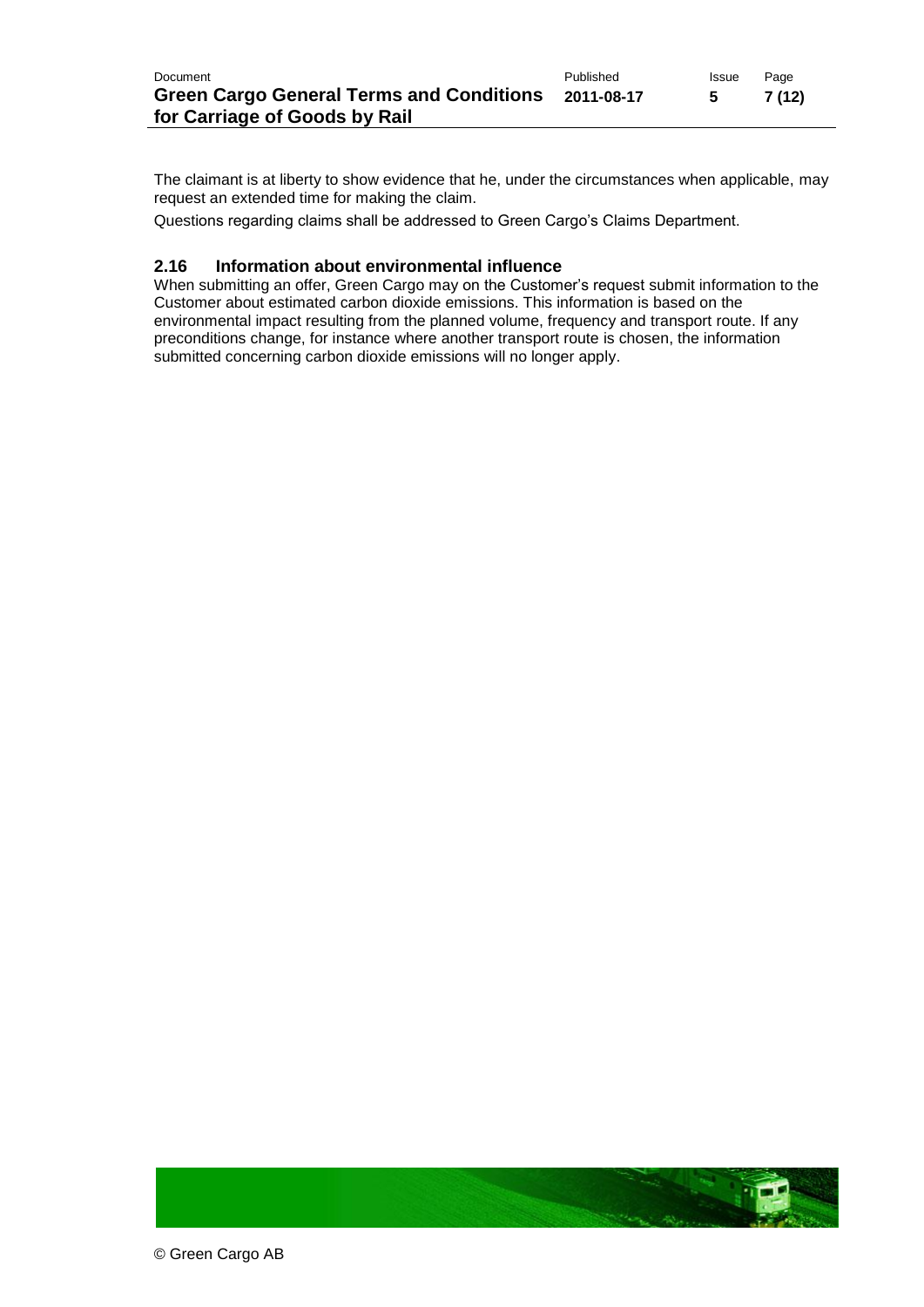The claimant is at liberty to show evidence that he, under the circumstances when applicable, may request an extended time for making the claim.

Questions regarding claims shall be addressed to Green Cargo's Claims Department.

#### **2.16 Information about environmental influence**

When submitting an offer, Green Cargo may on the Customer's request submit information to the Customer about estimated carbon dioxide emissions. This information is based on the environmental impact resulting from the planned volume, frequency and transport route. If any preconditions change, for instance where another transport route is chosen, the information submitted concerning carbon dioxide emissions will no longer apply.

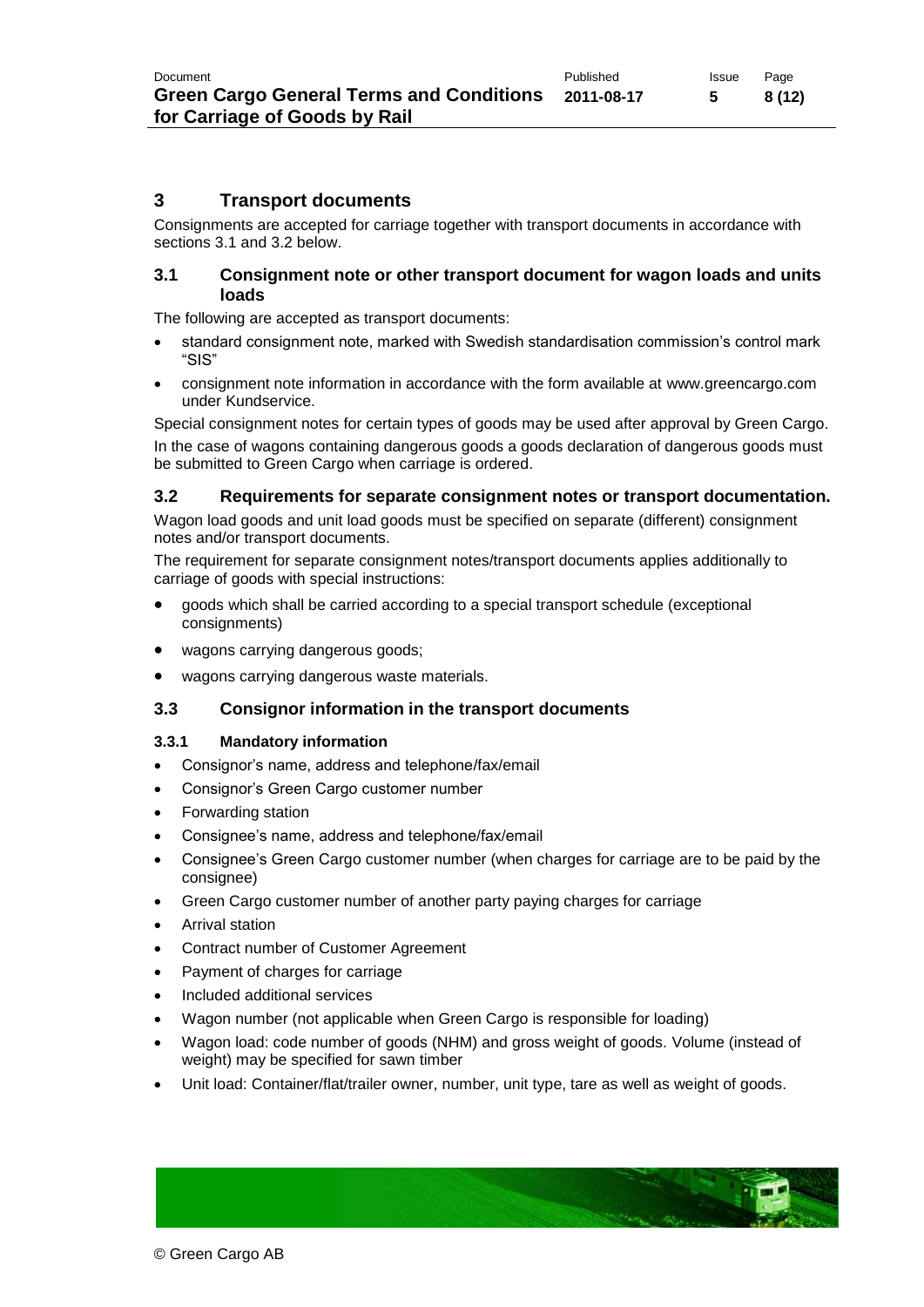#### **3 Transport documents**

Consignments are accepted for carriage together with transport documents in accordance with sections 3.1 and 3.2 below.

#### **3.1 Consignment note or other transport document for wagon loads and units loads**

The following are accepted as transport documents:

- standard consignment note, marked with Swedish standardisation commission's control mark "SIS"
- consignment note information in accordance with the form available at [www.greencargo.com](http://www.greencargo.com/) under Kundservice.

Special consignment notes for certain types of goods may be used after approval by Green Cargo. In the case of wagons containing dangerous goods a goods declaration of dangerous goods must be submitted to Green Cargo when carriage is ordered.

#### **3.2 Requirements for separate consignment notes or transport documentation.**

Wagon load goods and unit load goods must be specified on separate (different) consignment notes and/or transport documents.

The requirement for separate consignment notes/transport documents applies additionally to carriage of goods with special instructions:

- goods which shall be carried according to a special transport schedule (exceptional consignments)
- wagons carrying dangerous goods;
- wagons carrying dangerous waste materials.

#### **3.3 Consignor information in the transport documents**

#### **3.3.1 Mandatory information**

- Consignor's name, address and telephone/fax/email
- Consignor's Green Cargo customer number
- Forwarding station
- Consignee's name, address and telephone/fax/email
- Consignee's Green Cargo customer number (when charges for carriage are to be paid by the consignee)
- Green Cargo customer number of another party paying charges for carriage
- Arrival station
- Contract number of Customer Agreement
- Payment of charges for carriage
- Included additional services
- Wagon number (not applicable when Green Cargo is responsible for loading)
- Wagon load: code number of goods (NHM) and gross weight of goods. Volume (instead of weight) may be specified for sawn timber
- Unit load: Container/flat/trailer owner, number, unit type, tare as well as weight of goods.

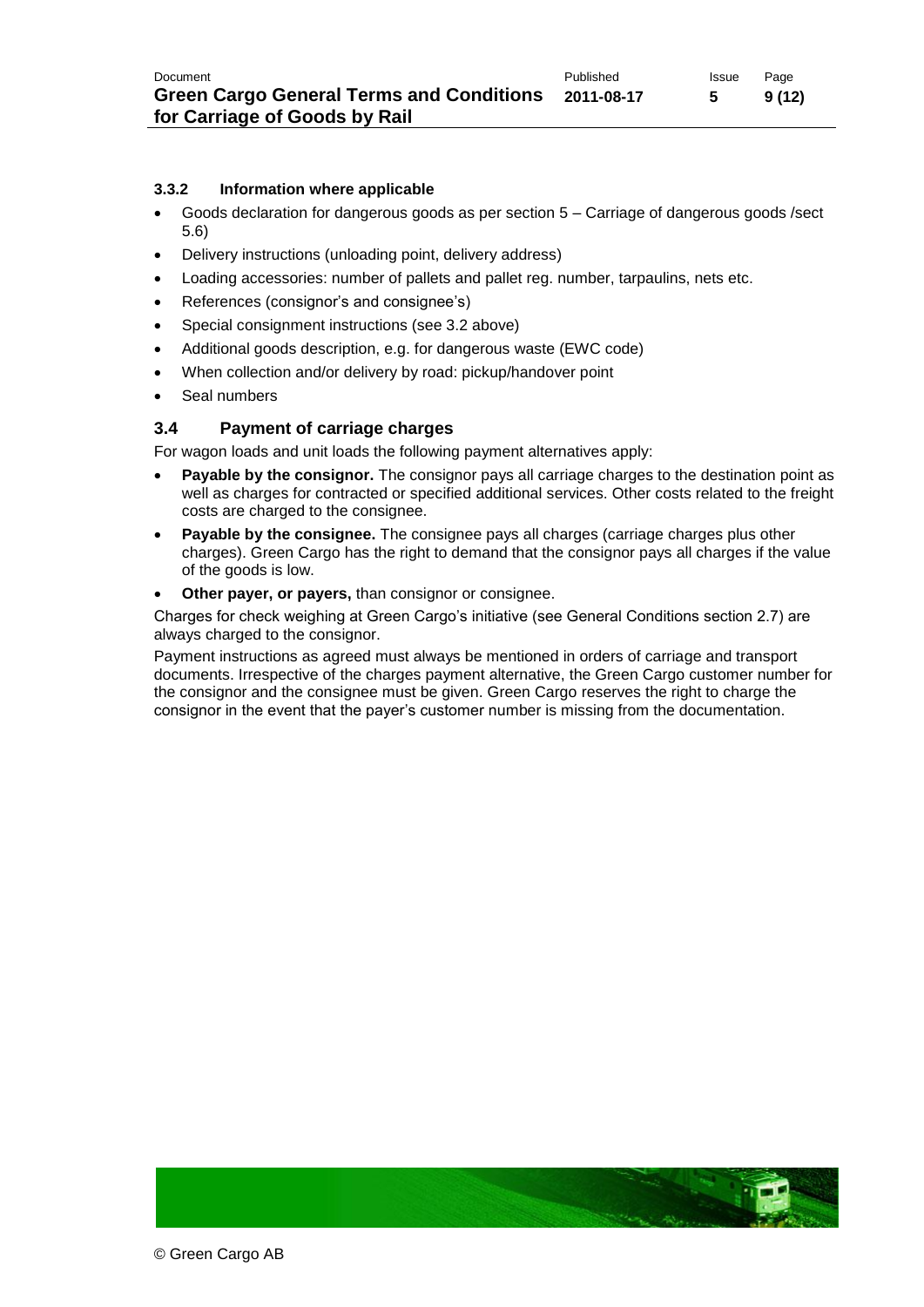#### **3.3.2 Information where applicable**

- Goods declaration for dangerous goods as per section 5 Carriage of dangerous goods /sect 5.6)
- Delivery instructions (unloading point, delivery address)
- Loading accessories: number of pallets and pallet reg. number, tarpaulins, nets etc.
- References (consignor's and consignee's)
- Special consignment instructions (see 3.2 above)
- Additional goods description, e.g. for dangerous waste (EWC code)
- When collection and/or delivery by road: pickup/handover point
- Seal numbers

#### **3.4 Payment of carriage charges**

For wagon loads and unit loads the following payment alternatives apply:

- **Payable by the consignor.** The consignor pays all carriage charges to the destination point as well as charges for contracted or specified additional services. Other costs related to the freight costs are charged to the consignee.
- **Payable by the consignee.** The consignee pays all charges (carriage charges plus other charges). Green Cargo has the right to demand that the consignor pays all charges if the value of the goods is low.
- **Other payer, or payers,** than consignor or consignee.

Charges for check weighing at Green Cargo's initiative (see General Conditions section 2.7) are always charged to the consignor.

Payment instructions as agreed must always be mentioned in orders of carriage and transport documents. Irrespective of the charges payment alternative, the Green Cargo customer number for the consignor and the consignee must be given. Green Cargo reserves the right to charge the consignor in the event that the payer's customer number is missing from the documentation.

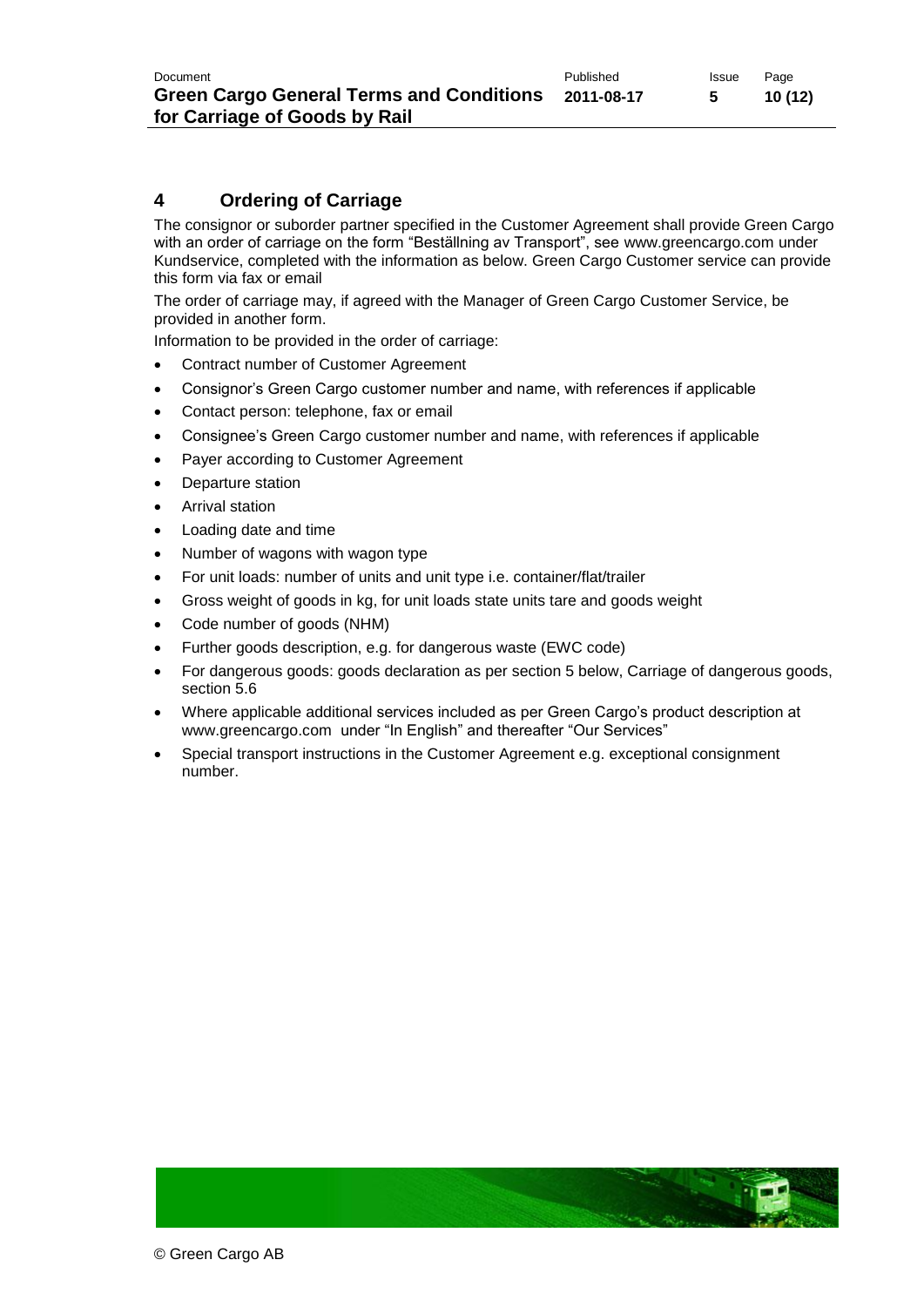### **4 Ordering of Carriage**

The consignor or suborder partner specified in the Customer Agreement shall provide Green Cargo with an order of carriage on the form "Beställning av Transport", see [www.greencargo.com](http://www.greencargo.com/) under Kundservice, completed with the information as below. Green Cargo Customer service can provide this form via fax or email

The order of carriage may, if agreed with the Manager of Green Cargo Customer Service, be provided in another form.

Information to be provided in the order of carriage:

- Contract number of Customer Agreement
- Consignor's Green Cargo customer number and name, with references if applicable
- Contact person: telephone, fax or email
- Consignee's Green Cargo customer number and name, with references if applicable
- Payer according to Customer Agreement
- Departure station
- Arrival station
- Loading date and time
- Number of wagons with wagon type
- For unit loads: number of units and unit type i.e. container/flat/trailer
- Gross weight of goods in kg, for unit loads state units tare and goods weight
- Code number of goods (NHM)
- Further goods description, e.g. for dangerous waste (EWC code)
- For dangerous goods: goods declaration as per section 5 below, Carriage of dangerous goods, section 5.6
- Where applicable additional services included as per Green Cargo's product description at [www.greencargo.com](http://www.greencargo.com/) under "In English" and thereafter "Our Services"
- Special transport instructions in the Customer Agreement e.g. exceptional consignment number.

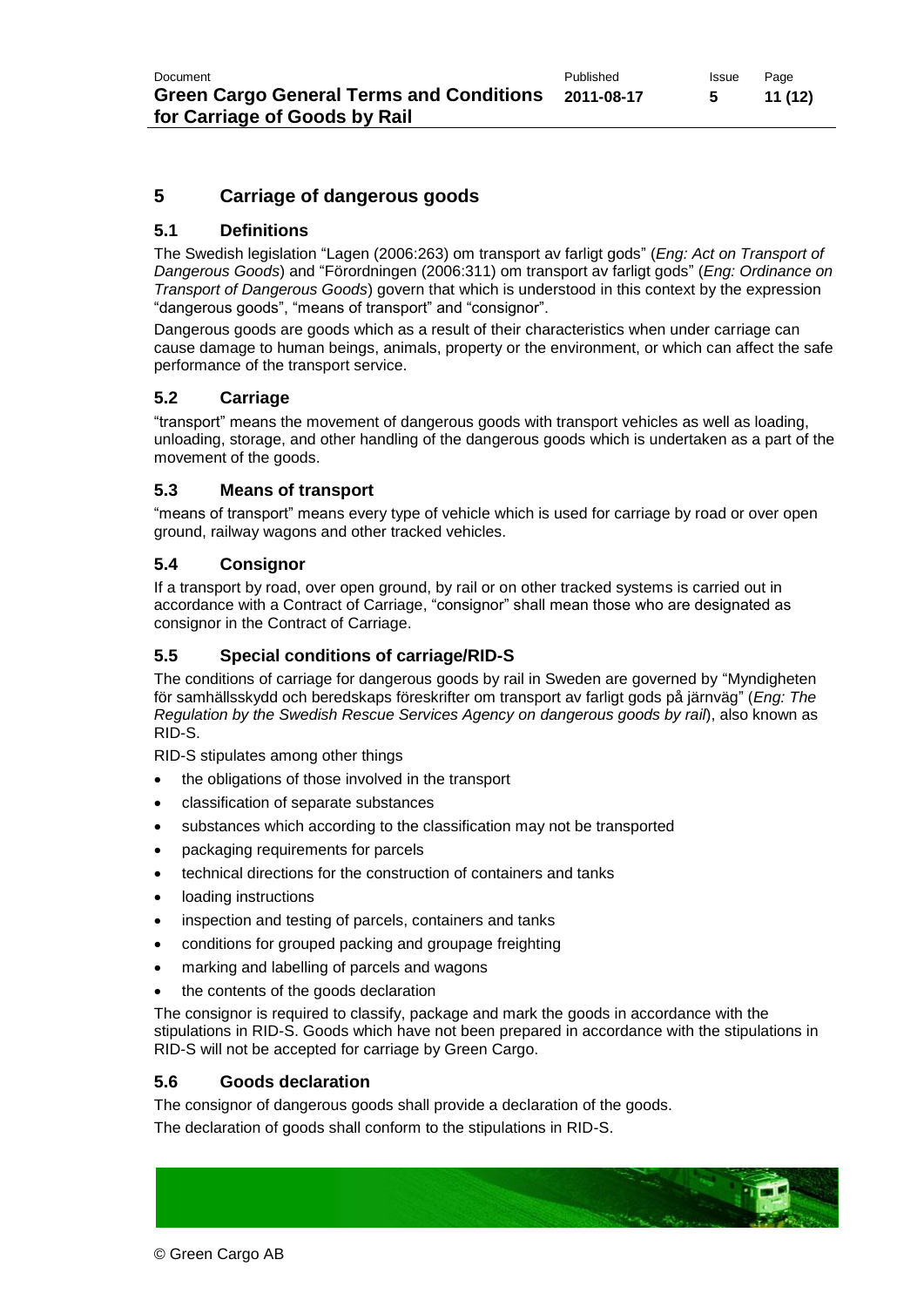## **5 Carriage of dangerous goods**

### **5.1 Definitions**

The Swedish legislation ["Lagen \(2006:263\) om transport av farligt gods"](http://rixlex.riksdagen.se/htbin/thw?%24%7BHTML%7D=SFST_LST&%24%7BOOHTML%7D=SFST_DOK&%24%7BSNHTML%7D=SFST_ERR&%24%7BMAXPAGE%7D=26&%24%7BTRIPSHOW%7D=format%3DTHW&%24%7BBASE%7D=SFST&%24%7BFREETEXT%7D=&BET=1982%3A821&RUB=&ORG=) (*Eng: Act on Transport of Dangerous Goods*) and ["Förordningen \(2006:311\) om transport av farligt gods"](http://rixlex.riksdagen.se/htbin/thw?%24%7BHTML%7D=SFST_LST&%24%7BOOHTML%7D=SFST_DOK&%24%7BSNHTML%7D=SFST_ERR&%24%7BMAXPAGE%7D=26&%24%7BTRIPSHOW%7D=format%3DTHW&%24%7BBASE%7D=SFST&%24%7BFREETEXT%7D=&BET=1982%3A923&RUB=&ORG=) (*Eng: Ordinance on Transport of Dangerous Goods*) govern that which is understood in this context by the expression "dangerous goods", "means of transport" and "consignor".

Dangerous goods are goods which as a result of their characteristics when under carriage can cause damage to human beings, animals, property or the environment, or which can affect the safe performance of the transport service.

#### **5.2 Carriage**

"transport" means the movement of dangerous goods with transport vehicles as well as loading, unloading, storage, and other handling of the dangerous goods which is undertaken as a part of the movement of the goods.

#### **5.3 Means of transport**

"means of transport" means every type of vehicle which is used for carriage by road or over open ground, railway wagons and other tracked vehicles.

#### **5.4 Consignor**

If a transport by road, over open ground, by rail or on other tracked systems is carried out in accordance with a Contract of Carriage, "consignor" shall mean those who are designated as consignor in the Contract of Carriage.

#### **5.5 Special conditions of carriage/RID-S**

The conditions of carriage for dangerous goods by rail in Sweden are governed by "Myndigheten för samhällsskydd och beredskaps föreskrifter om transport av farligt gods på järnväg" (*Eng: The Regulation by the Swedish Rescue Services Agency on dangerous goods by rail*), also known as RID-S.

RID-S stipulates among other things

- the obligations of those involved in the transport
- classification of separate substances
- substances which according to the classification may not be transported
- packaging requirements for parcels
- technical directions for the construction of containers and tanks
- loading instructions
- inspection and testing of parcels, containers and tanks
- conditions for grouped packing and groupage freighting
- marking and labelling of parcels and wagons
- the contents of the goods declaration

The consignor is required to classify, package and mark the goods in accordance with the stipulations in RID-S. Goods which have not been prepared in accordance with the stipulations in RID-S will not be accepted for carriage by Green Cargo.

#### **5.6 Goods declaration**

The consignor of dangerous goods shall provide a declaration of the goods.

The declaration of goods shall conform to the stipulations in RID-S.